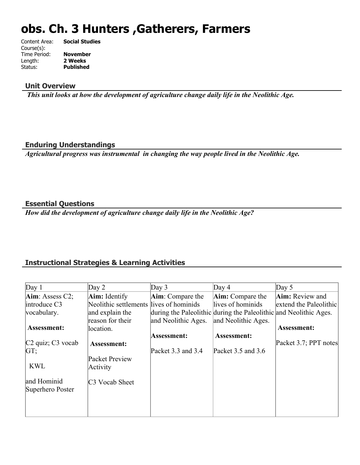# **obs. Ch. 3 Hunters ,Gatherers, Farmers**

| Content Area: | <b>Social Studies</b> |
|---------------|-----------------------|
| Course(s):    |                       |
| Time Period:  | <b>November</b>       |
| Length:       | 2 Weeks               |
| Status:       | <b>Published</b>      |
|               |                       |

#### **Unit Overview**

 *This unit looks at how the development of agriculture change daily life in the Neolithic Age.*

#### **Enduring Understandings**

*Agricultural progress was instrumental in changing the way people lived in the Neolithic Age.*

#### **Essential Questions**

*How did the development of agriculture change daily life in the Neolithic Age?*

## **Instructional Strategies & Learning Activities**

| Day 1                           | Day $2$                                 | Day $3$                                                           | Day $4$                 | Day $5$                |
|---------------------------------|-----------------------------------------|-------------------------------------------------------------------|-------------------------|------------------------|
| Aim: Assess C2;                 | <b>Aim:</b> Identify                    | Aim: Compare the                                                  | <b>Aim:</b> Compare the | Aim: Review and        |
| introduce C3                    | Neolithic settlements lives of hominids |                                                                   | llives of hominids      | extend the Paleolithic |
| vocabulary.                     | and explain the                         | during the Paleolithic during the Paleolithic and Neolithic Ages. |                         |                        |
|                                 | reason for their                        | and Neolithic Ages.                                               | and Neolithic Ages.     |                        |
| <b>Assessment:</b>              | location.                               |                                                                   |                         | <b>Assessment:</b>     |
|                                 |                                         | Assessment:                                                       | Assessment:             |                        |
| $C2$ quiz; $C3$ vocab           | Assessment:                             |                                                                   |                         | Packet 3.7; PPT notes  |
| GT;                             |                                         | Packet 3.3 and 3.4                                                | Packet $3.5$ and $3.6$  |                        |
|                                 | Packet Preview                          |                                                                   |                         |                        |
| <b>KWL</b>                      | Activity                                |                                                                   |                         |                        |
| and Hominid<br>Superhero Poster | C <sub>3</sub> Vocab Sheet              |                                                                   |                         |                        |
|                                 |                                         |                                                                   |                         |                        |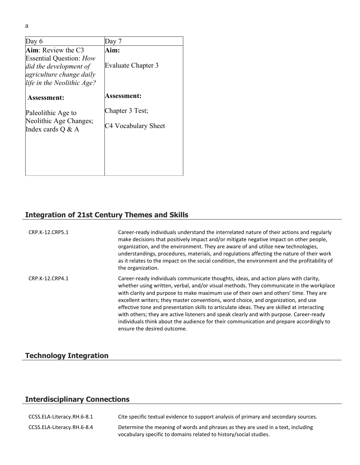| Day 6                                                                                                              | Dav 7                     |
|--------------------------------------------------------------------------------------------------------------------|---------------------------|
| Aim: Review the C3                                                                                                 | Aim:                      |
| <b>Essential Question: How</b><br>did the development of<br>agriculture change daily<br>life in the Neolithic Age? | <b>Evaluate Chapter 3</b> |
| <b>Assessment:</b>                                                                                                 | Assessment:               |
| Paleolithic Age to                                                                                                 | Chapter 3 Test;           |
| Neolithic Age Changes;<br>Index cards $Q \& A$                                                                     | C4 Vocabulary Sheet       |
|                                                                                                                    |                           |
|                                                                                                                    |                           |
|                                                                                                                    |                           |

## **Integration of 21st Century Themes and Skills**

| CRP.K-12.CRP5.1 | Career-ready individuals understand the interrelated nature of their actions and regularly<br>make decisions that positively impact and/or mitigate negative impact on other people,<br>organization, and the environment. They are aware of and utilize new technologies,<br>understandings, procedures, materials, and regulations affecting the nature of their work<br>as it relates to the impact on the social condition, the environment and the profitability of<br>the organization.                                                                                                                                                                                     |
|-----------------|-----------------------------------------------------------------------------------------------------------------------------------------------------------------------------------------------------------------------------------------------------------------------------------------------------------------------------------------------------------------------------------------------------------------------------------------------------------------------------------------------------------------------------------------------------------------------------------------------------------------------------------------------------------------------------------|
| CRP.K-12.CRP4.1 | Career-ready individuals communicate thoughts, ideas, and action plans with clarity,<br>whether using written, verbal, and/or visual methods. They communicate in the workplace<br>with clarity and purpose to make maximum use of their own and others' time. They are<br>excellent writers; they master conventions, word choice, and organization, and use<br>effective tone and presentation skills to articulate ideas. They are skilled at interacting<br>with others; they are active listeners and speak clearly and with purpose. Career-ready<br>individuals think about the audience for their communication and prepare accordingly to<br>ensure the desired outcome. |

## **Technology Integration**

## **Interdisciplinary Connections**

| CCSS.ELA-Literacy.RH.6-8.1 | Cite specific textual evidence to support analysis of primary and secondary sources.                                                                  |
|----------------------------|-------------------------------------------------------------------------------------------------------------------------------------------------------|
| CCSS.ELA-Literacy.RH.6-8.4 | Determine the meaning of words and phrases as they are used in a text, including<br>vocabulary specific to domains related to history/social studies. |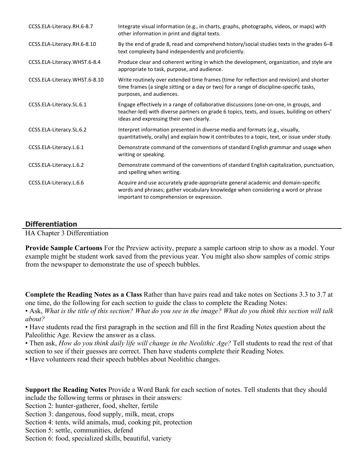| CCSS.ELA-Literacy.RH.6-8.7    | Integrate visual information (e.g., in charts, graphs, photographs, videos, or maps) with<br>other information in print and digital texts.                                                                                        |
|-------------------------------|-----------------------------------------------------------------------------------------------------------------------------------------------------------------------------------------------------------------------------------|
| CCSS.ELA-Literacy.RH.6-8.10   | By the end of grade 8, read and comprehend history/social studies texts in the grades 6–8<br>text complexity band independently and proficiently.                                                                                 |
| CCSS.ELA-Literacy.WHST.6-8.4  | Produce clear and coherent writing in which the development, organization, and style are<br>appropriate to task, purpose, and audience.                                                                                           |
| CCSS.ELA-Literacy.WHST.6-8.10 | Write routinely over extended time frames (time for reflection and revision) and shorter<br>time frames (a single sitting or a day or two) for a range of discipline-specific tasks,<br>purposes, and audiences.                  |
| CCSS.ELA-Literacy.SL.6.1      | Engage effectively in a range of collaborative discussions (one-on-one, in groups, and<br>teacher-led) with diverse partners on grade 6 topics, texts, and issues, building on others'<br>ideas and expressing their own clearly. |
| CCSS.ELA-Literacy.SL.6.2      | Interpret information presented in diverse media and formats (e.g., visually,<br>quantitatively, orally) and explain how it contributes to a topic, text, or issue under study.                                                   |
| CCSS.ELA-Literacy.L.6.1       | Demonstrate command of the conventions of standard English grammar and usage when<br>writing or speaking.                                                                                                                         |
| CCSS.ELA-Literacy.L.6.2       | Demonstrate command of the conventions of standard English capitalization, punctuation,<br>and spelling when writing.                                                                                                             |
| CCSS.ELA-Literacy.L.6.6       | Acquire and use accurately grade-appropriate general academic and domain-specific<br>words and phrases; gather vocabulary knowledge when considering a word or phrase<br>important to comprehension or expression.                |

#### **Differentiation**

HA Chapter 3 Differentiation

**Provide Sample Cartoons** For the Preview activity, prepare a sample cartoon strip to show as a model. Your example might be student work saved from the previous year. You might also show samples of comic strips from the newspaper to demonstrate the use of speech bubbles.

**Complete the Reading Notes as a Class** Rather than have pairs read and take notes on Sections 3.3 to 3.7 at one time, do the following for each section to guide the class to complete the Reading Notes:

• Ask, *What is the title of this section? What do you see in the image? What do you think this section will talk about?*

• Have students read the first paragraph in the section and fill in the first Reading Notes question about the Paleolithic Age. Review the answer as a class.

• Then ask, *How do you think daily life will change in the Neolithic Age?* Tell students to read the rest of that section to see if their guesses are correct. Then have students complete their Reading Notes.

• Have volunteers read their speech bubbles about Neolithic changes.

**Support the Reading Notes** Provide a Word Bank for each section of notes. Tell students that they should include the following terms or phrases in their answers:

Section 2: hunter-gatherer, food, shelter, fertile

Section 3: dangerous, food supply, milk, meat, crops

Section 4: tents, wild animals, mud, cooking pit, protection

Section 5: settle, communities, defend

Section 6: food, specialized skills, beautiful, variety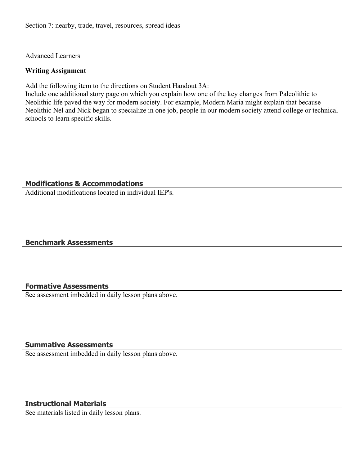Section 7: nearby, trade, travel, resources, spread ideas

Advanced Learners

#### **Writing Assignment**

Add the following item to the directions on Student Handout 3A:

Include one additional story page on which you explain how one of the key changes from Paleolithic to Neolithic life paved the way for modern society. For example, Modern Maria might explain that because Neolithic Nel and Nick began to specialize in one job, people in our modern society attend college or technical schools to learn specific skills.

#### **Modifications & Accommodations**

Additional modifications located in individual IEP's.

#### **Benchmark Assessments**

#### **Formative Assessments**

See assessment imbedded in daily lesson plans above.

#### **Summative Assessments**

See assessment imbedded in daily lesson plans above.

#### **Instructional Materials**

See materials listed in daily lesson plans.